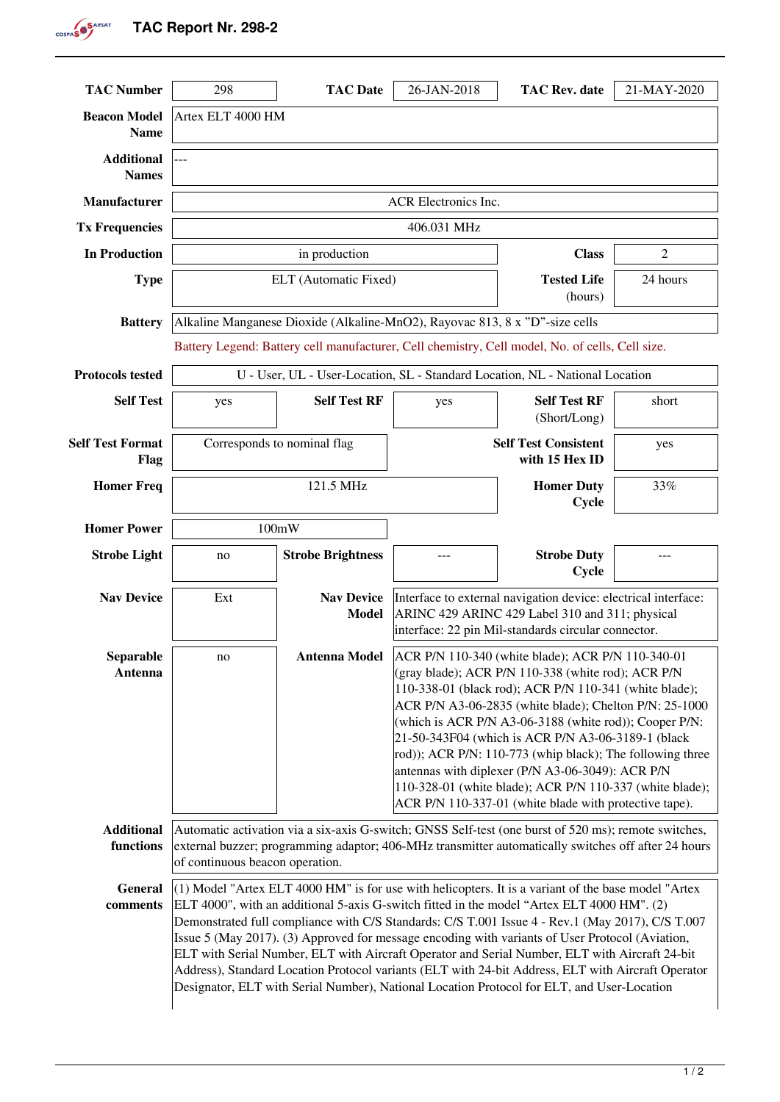**TAC Report Nr. 298-2** 

COSPAS<sup>SARSAT</sup>

| <b>TAC Number</b>                  | 298                                                                                                                                                                                                                                                                                                                                                                                                                                                                                                                                                                                                                                                                                                               | <b>TAC Date</b>                   | 26-JAN-2018                                                                                                                                                                                                                                                                                                                                                                                                                                                                                                                                                                        | <b>TAC Rev. date</b>                          | 21-MAY-2020    |
|------------------------------------|-------------------------------------------------------------------------------------------------------------------------------------------------------------------------------------------------------------------------------------------------------------------------------------------------------------------------------------------------------------------------------------------------------------------------------------------------------------------------------------------------------------------------------------------------------------------------------------------------------------------------------------------------------------------------------------------------------------------|-----------------------------------|------------------------------------------------------------------------------------------------------------------------------------------------------------------------------------------------------------------------------------------------------------------------------------------------------------------------------------------------------------------------------------------------------------------------------------------------------------------------------------------------------------------------------------------------------------------------------------|-----------------------------------------------|----------------|
| <b>Beacon Model</b><br><b>Name</b> | Artex ELT 4000 HM                                                                                                                                                                                                                                                                                                                                                                                                                                                                                                                                                                                                                                                                                                 |                                   |                                                                                                                                                                                                                                                                                                                                                                                                                                                                                                                                                                                    |                                               |                |
| <b>Additional</b><br><b>Names</b>  |                                                                                                                                                                                                                                                                                                                                                                                                                                                                                                                                                                                                                                                                                                                   |                                   |                                                                                                                                                                                                                                                                                                                                                                                                                                                                                                                                                                                    |                                               |                |
| Manufacturer                       | <b>ACR Electronics Inc.</b>                                                                                                                                                                                                                                                                                                                                                                                                                                                                                                                                                                                                                                                                                       |                                   |                                                                                                                                                                                                                                                                                                                                                                                                                                                                                                                                                                                    |                                               |                |
| <b>Tx Frequencies</b>              | 406.031 MHz                                                                                                                                                                                                                                                                                                                                                                                                                                                                                                                                                                                                                                                                                                       |                                   |                                                                                                                                                                                                                                                                                                                                                                                                                                                                                                                                                                                    |                                               |                |
| <b>In Production</b>               |                                                                                                                                                                                                                                                                                                                                                                                                                                                                                                                                                                                                                                                                                                                   | in production                     |                                                                                                                                                                                                                                                                                                                                                                                                                                                                                                                                                                                    | <b>Class</b>                                  | $\overline{2}$ |
| <b>Type</b>                        |                                                                                                                                                                                                                                                                                                                                                                                                                                                                                                                                                                                                                                                                                                                   | ELT (Automatic Fixed)             |                                                                                                                                                                                                                                                                                                                                                                                                                                                                                                                                                                                    | <b>Tested Life</b><br>(hours)                 | 24 hours       |
| <b>Battery</b>                     | Alkaline Manganese Dioxide (Alkaline-MnO2), Rayovac 813, 8 x "D"-size cells                                                                                                                                                                                                                                                                                                                                                                                                                                                                                                                                                                                                                                       |                                   |                                                                                                                                                                                                                                                                                                                                                                                                                                                                                                                                                                                    |                                               |                |
|                                    | Battery Legend: Battery cell manufacturer, Cell chemistry, Cell model, No. of cells, Cell size.                                                                                                                                                                                                                                                                                                                                                                                                                                                                                                                                                                                                                   |                                   |                                                                                                                                                                                                                                                                                                                                                                                                                                                                                                                                                                                    |                                               |                |
| <b>Protocols tested</b>            | U - User, UL - User-Location, SL - Standard Location, NL - National Location                                                                                                                                                                                                                                                                                                                                                                                                                                                                                                                                                                                                                                      |                                   |                                                                                                                                                                                                                                                                                                                                                                                                                                                                                                                                                                                    |                                               |                |
| <b>Self Test</b>                   | yes                                                                                                                                                                                                                                                                                                                                                                                                                                                                                                                                                                                                                                                                                                               | <b>Self Test RF</b>               | yes                                                                                                                                                                                                                                                                                                                                                                                                                                                                                                                                                                                | <b>Self Test RF</b><br>(Short/Long)           | short          |
| <b>Self Test Format</b><br>Flag    | Corresponds to nominal flag                                                                                                                                                                                                                                                                                                                                                                                                                                                                                                                                                                                                                                                                                       |                                   |                                                                                                                                                                                                                                                                                                                                                                                                                                                                                                                                                                                    | <b>Self Test Consistent</b><br>with 15 Hex ID | yes            |
| <b>Homer Freq</b>                  | 121.5 MHz                                                                                                                                                                                                                                                                                                                                                                                                                                                                                                                                                                                                                                                                                                         |                                   |                                                                                                                                                                                                                                                                                                                                                                                                                                                                                                                                                                                    | <b>Homer Duty</b><br>Cycle                    | 33%            |
| <b>Homer Power</b>                 | 100mW                                                                                                                                                                                                                                                                                                                                                                                                                                                                                                                                                                                                                                                                                                             |                                   |                                                                                                                                                                                                                                                                                                                                                                                                                                                                                                                                                                                    |                                               |                |
| <b>Strobe Light</b>                | no                                                                                                                                                                                                                                                                                                                                                                                                                                                                                                                                                                                                                                                                                                                | <b>Strobe Brightness</b>          |                                                                                                                                                                                                                                                                                                                                                                                                                                                                                                                                                                                    | <b>Strobe Duty</b><br>Cycle                   |                |
| <b>Nav Device</b>                  | Ext                                                                                                                                                                                                                                                                                                                                                                                                                                                                                                                                                                                                                                                                                                               | <b>Nav Device</b><br><b>Model</b> | Interface to external navigation device: electrical interface:<br>ARINC 429 ARINC 429 Label 310 and 311; physical<br>interface: 22 pin Mil-standards circular connector.                                                                                                                                                                                                                                                                                                                                                                                                           |                                               |                |
| Separable<br>Antenna               | no                                                                                                                                                                                                                                                                                                                                                                                                                                                                                                                                                                                                                                                                                                                | <b>Antenna Model</b>              | ACR P/N 110-340 (white blade); ACR P/N 110-340-01<br>(gray blade); ACR P/N 110-338 (white rod); ACR P/N<br>110-338-01 (black rod); ACR P/N 110-341 (white blade);<br>ACR P/N A3-06-2835 (white blade); Chelton P/N: 25-1000<br>(which is ACR P/N A3-06-3188 (white rod)); Cooper P/N:<br>21-50-343F04 (which is ACR P/N A3-06-3189-1 (black<br>rod)); ACR P/N: 110-773 (whip black); The following three<br>antennas with diplexer (P/N A3-06-3049): ACR P/N<br>110-328-01 (white blade); ACR P/N 110-337 (white blade);<br>ACR P/N 110-337-01 (white blade with protective tape). |                                               |                |
| <b>Additional</b><br>functions     | Automatic activation via a six-axis G-switch; GNSS Self-test (one burst of 520 ms); remote switches,<br>external buzzer; programming adaptor; 406-MHz transmitter automatically switches off after 24 hours<br>of continuous beacon operation.                                                                                                                                                                                                                                                                                                                                                                                                                                                                    |                                   |                                                                                                                                                                                                                                                                                                                                                                                                                                                                                                                                                                                    |                                               |                |
| General<br>comments                | $(1)$ Model "Artex ELT 4000 HM" is for use with helicopters. It is a variant of the base model "Artex"<br>ELT 4000", with an additional 5-axis G-switch fitted in the model "Artex ELT 4000 HM". (2)<br>Demonstrated full compliance with C/S Standards: C/S T.001 Issue 4 - Rev.1 (May 2017), C/S T.007<br>Issue 5 (May 2017). (3) Approved for message encoding with variants of User Protocol (Aviation,<br>ELT with Serial Number, ELT with Aircraft Operator and Serial Number, ELT with Aircraft 24-bit<br>Address), Standard Location Protocol variants (ELT with 24-bit Address, ELT with Aircraft Operator<br>Designator, ELT with Serial Number), National Location Protocol for ELT, and User-Location |                                   |                                                                                                                                                                                                                                                                                                                                                                                                                                                                                                                                                                                    |                                               |                |